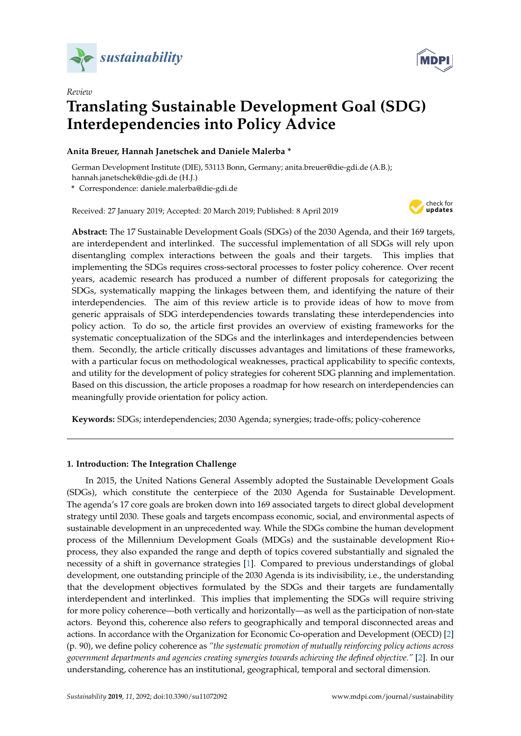

*Review*



# **Translating Sustainable Development Goal (SDG) Interdependencies into Policy Advice**

# **Anita Breuer, Hannah Janetschek and Daniele Malerba \***

German Development Institute (DIE), 53113 Bonn, Germany; anita.breuer@die-gdi.de (A.B.); hannah.janetschek@die-gdi.de (H.J.)

**\*** Correspondence: daniele.malerba@die-gdi.de

Received: 27 January 2019; Accepted: 20 March 2019; Published: 8 April 2019



**Abstract:** The 17 Sustainable Development Goals (SDGs) of the 2030 Agenda, and their 169 targets, are interdependent and interlinked. The successful implementation of all SDGs will rely upon disentangling complex interactions between the goals and their targets. This implies that implementing the SDGs requires cross-sectoral processes to foster policy coherence. Over recent years, academic research has produced a number of different proposals for categorizing the SDGs, systematically mapping the linkages between them, and identifying the nature of their interdependencies. The aim of this review article is to provide ideas of how to move from generic appraisals of SDG interdependencies towards translating these interdependencies into policy action. To do so, the article first provides an overview of existing frameworks for the systematic conceptualization of the SDGs and the interlinkages and interdependencies between them. Secondly, the article critically discusses advantages and limitations of these frameworks, with a particular focus on methodological weaknesses, practical applicability to specific contexts, and utility for the development of policy strategies for coherent SDG planning and implementation. Based on this discussion, the article proposes a roadmap for how research on interdependencies can meaningfully provide orientation for policy action.

**Keywords:** SDGs; interdependencies; 2030 Agenda; synergies; trade-offs; policy-coherence

# **1. Introduction: The Integration Challenge**

In 2015, the United Nations General Assembly adopted the Sustainable Development Goals (SDGs), which constitute the centerpiece of the 2030 Agenda for Sustainable Development. The agenda's 17 core goals are broken down into 169 associated targets to direct global development strategy until 2030. These goals and targets encompass economic, social, and environmental aspects of sustainable development in an unprecedented way. While the SDGs combine the human development process of the Millennium Development Goals (MDGs) and the sustainable development Rio+ process, they also expanded the range and depth of topics covered substantially and signaled the necessity of a shift in governance strategies [\[1\]](#page-16-0). Compared to previous understandings of global development, one outstanding principle of the 2030 Agenda is its indivisibility, i.e., the understanding that the development objectives formulated by the SDGs and their targets are fundamentally interdependent and interlinked. This implies that implementing the SDGs will require striving for more policy coherence—both vertically and horizontally—as well as the participation of non-state actors. Beyond this, coherence also refers to geographically and temporal disconnected areas and actions. In accordance with the Organization for Economic Co-operation and Development (OECD) [\[2\]](#page-16-1) (p. 90), we define policy coherence as *"the systematic promotion of mutually reinforcing policy actions across government departments and agencies creating synergies towards achieving the defined objective."* [\[2\]](#page-16-1). In our understanding, coherence has an institutional, geographical, temporal and sectoral dimension.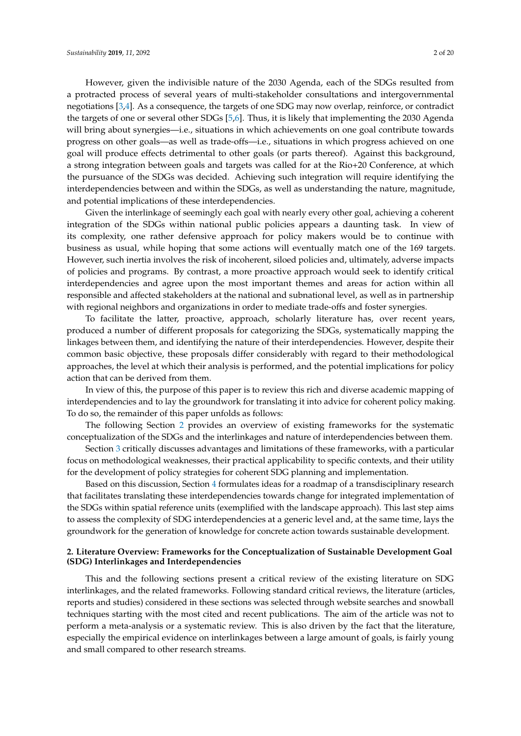However, given the indivisible nature of the 2030 Agenda, each of the SDGs resulted from a protracted process of several years of multi-stakeholder consultations and intergovernmental negotiations [\[3,](#page-16-2)[4\]](#page-16-3). As a consequence, the targets of one SDG may now overlap, reinforce, or contradict the targets of one or several other SDGs [\[5](#page-16-4)[,6\]](#page-16-5). Thus, it is likely that implementing the 2030 Agenda will bring about synergies—i.e., situations in which achievements on one goal contribute towards progress on other goals—as well as trade-offs—i.e., situations in which progress achieved on one goal will produce effects detrimental to other goals (or parts thereof). Against this background, a strong integration between goals and targets was called for at the Rio+20 Conference, at which the pursuance of the SDGs was decided. Achieving such integration will require identifying the interdependencies between and within the SDGs, as well as understanding the nature, magnitude, and potential implications of these interdependencies.

Given the interlinkage of seemingly each goal with nearly every other goal, achieving a coherent integration of the SDGs within national public policies appears a daunting task. In view of its complexity, one rather defensive approach for policy makers would be to continue with business as usual, while hoping that some actions will eventually match one of the 169 targets. However, such inertia involves the risk of incoherent, siloed policies and, ultimately, adverse impacts of policies and programs. By contrast, a more proactive approach would seek to identify critical interdependencies and agree upon the most important themes and areas for action within all responsible and affected stakeholders at the national and subnational level, as well as in partnership with regional neighbors and organizations in order to mediate trade-offs and foster synergies.

To facilitate the latter, proactive, approach, scholarly literature has, over recent years, produced a number of different proposals for categorizing the SDGs, systematically mapping the linkages between them, and identifying the nature of their interdependencies. However, despite their common basic objective, these proposals differ considerably with regard to their methodological approaches, the level at which their analysis is performed, and the potential implications for policy action that can be derived from them.

In view of this, the purpose of this paper is to review this rich and diverse academic mapping of interdependencies and to lay the groundwork for translating it into advice for coherent policy making. To do so, the remainder of this paper unfolds as follows:

The following Section [2](#page-1-0) provides an overview of existing frameworks for the systematic conceptualization of the SDGs and the interlinkages and nature of interdependencies between them.

Section [3](#page-7-0) critically discusses advantages and limitations of these frameworks, with a particular focus on methodological weaknesses, their practical applicability to specific contexts, and their utility for the development of policy strategies for coherent SDG planning and implementation.

Based on this discussion, Section [4](#page-12-0) formulates ideas for a roadmap of a transdisciplinary research that facilitates translating these interdependencies towards change for integrated implementation of the SDGs within spatial reference units (exemplified with the landscape approach). This last step aims to assess the complexity of SDG interdependencies at a generic level and, at the same time, lays the groundwork for the generation of knowledge for concrete action towards sustainable development.

# <span id="page-1-0"></span>**2. Literature Overview: Frameworks for the Conceptualization of Sustainable Development Goal (SDG) Interlinkages and Interdependencies**

This and the following sections present a critical review of the existing literature on SDG interlinkages, and the related frameworks. Following standard critical reviews, the literature (articles, reports and studies) considered in these sections was selected through website searches and snowball techniques starting with the most cited and recent publications. The aim of the article was not to perform a meta-analysis or a systematic review. This is also driven by the fact that the literature, especially the empirical evidence on interlinkages between a large amount of goals, is fairly young and small compared to other research streams.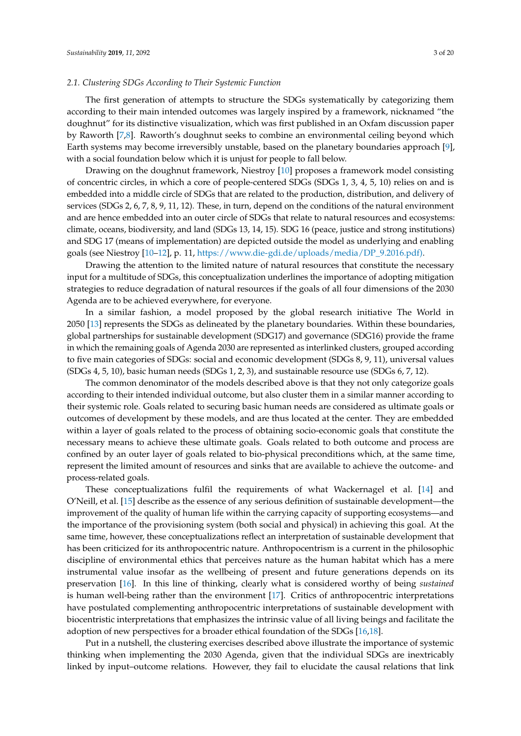<span id="page-2-0"></span>The first generation of attempts to structure the SDGs systematically by categorizing them according to their main intended outcomes was largely inspired by a framework, nicknamed "the doughnut" for its distinctive visualization, which was first published in an Oxfam discussion paper by Raworth [\[7,](#page-17-0)[8\]](#page-17-1). Raworth's doughnut seeks to combine an environmental ceiling beyond which Earth systems may become irreversibly unstable, based on the planetary boundaries approach [\[9\]](#page-17-2), with a social foundation below which it is unjust for people to fall below.

Drawing on the doughnut framework, Niestroy [\[10\]](#page-17-3) proposes a framework model consisting of concentric circles, in which a core of people-centered SDGs (SDGs 1, 3, 4, 5, 10) relies on and is embedded into a middle circle of SDGs that are related to the production, distribution, and delivery of services (SDGs 2, 6, 7, 8, 9, 11, 12). These, in turn, depend on the conditions of the natural environment and are hence embedded into an outer circle of SDGs that relate to natural resources and ecosystems: climate, oceans, biodiversity, and land (SDGs 13, 14, 15). SDG 16 (peace, justice and strong institutions) and SDG 17 (means of implementation) are depicted outside the model as underlying and enabling goals (see Niestroy [\[10–](#page-17-3)[12\]](#page-17-4), p. 11, [https://www.die-gdi.de/uploads/media/DP\\_9.2016.pdf\).](https://www.die-gdi.de/uploads/media/DP_9.2016.pdf))

Drawing the attention to the limited nature of natural resources that constitute the necessary input for a multitude of SDGs, this conceptualization underlines the importance of adopting mitigation strategies to reduce degradation of natural resources if the goals of all four dimensions of the 2030 Agenda are to be achieved everywhere, for everyone.

In a similar fashion, a model proposed by the global research initiative The World in 2050 [\[13\]](#page-17-5) represents the SDGs as delineated by the planetary boundaries. Within these boundaries, global partnerships for sustainable development (SDG17) and governance (SDG16) provide the frame in which the remaining goals of Agenda 2030 are represented as interlinked clusters, grouped according to five main categories of SDGs: social and economic development (SDGs 8, 9, 11), universal values (SDGs 4, 5, 10), basic human needs (SDGs 1, 2, 3), and sustainable resource use (SDGs 6, 7, 12).

The common denominator of the models described above is that they not only categorize goals according to their intended individual outcome, but also cluster them in a similar manner according to their systemic role. Goals related to securing basic human needs are considered as ultimate goals or outcomes of development by these models, and are thus located at the center. They are embedded within a layer of goals related to the process of obtaining socio-economic goals that constitute the necessary means to achieve these ultimate goals. Goals related to both outcome and process are confined by an outer layer of goals related to bio-physical preconditions which, at the same time, represent the limited amount of resources and sinks that are available to achieve the outcome- and process-related goals.

These conceptualizations fulfil the requirements of what Wackernagel et al. [\[14\]](#page-17-6) and O'Neill, et al. [\[15\]](#page-17-7) describe as the essence of any serious definition of sustainable development—the improvement of the quality of human life within the carrying capacity of supporting ecosystems—and the importance of the provisioning system (both social and physical) in achieving this goal. At the same time, however, these conceptualizations reflect an interpretation of sustainable development that has been criticized for its anthropocentric nature. Anthropocentrism is a current in the philosophic discipline of environmental ethics that perceives nature as the human habitat which has a mere instrumental value insofar as the wellbeing of present and future generations depends on its preservation [\[16\]](#page-17-8). In this line of thinking, clearly what is considered worthy of being *sustained* is human well-being rather than the environment [\[17\]](#page-17-9). Critics of anthropocentric interpretations have postulated complementing anthropocentric interpretations of sustainable development with biocentristic interpretations that emphasizes the intrinsic value of all living beings and facilitate the adoption of new perspectives for a broader ethical foundation of the SDGs [\[16,](#page-17-8)[18\]](#page-17-10).

Put in a nutshell, the clustering exercises described above illustrate the importance of systemic thinking when implementing the 2030 Agenda, given that the individual SDGs are inextricably linked by input–outcome relations. However, they fail to elucidate the causal relations that link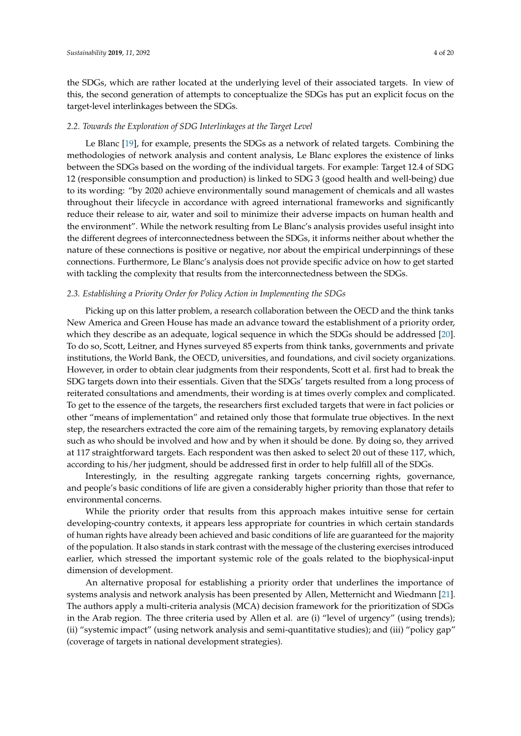the SDGs, which are rather located at the underlying level of their associated targets. In view of this, the second generation of attempts to conceptualize the SDGs has put an explicit focus on the target-level interlinkages between the SDGs.

# <span id="page-3-1"></span>*2.2. Towards the Exploration of SDG Interlinkages at the Target Level*

Le Blanc [\[19\]](#page-17-11), for example, presents the SDGs as a network of related targets. Combining the methodologies of network analysis and content analysis, Le Blanc explores the existence of links between the SDGs based on the wording of the individual targets. For example: Target 12.4 of SDG 12 (responsible consumption and production) is linked to SDG 3 (good health and well-being) due to its wording: "by 2020 achieve environmentally sound management of chemicals and all wastes throughout their lifecycle in accordance with agreed international frameworks and significantly reduce their release to air, water and soil to minimize their adverse impacts on human health and the environment". While the network resulting from Le Blanc's analysis provides useful insight into the different degrees of interconnectedness between the SDGs, it informs neither about whether the nature of these connections is positive or negative, nor about the empirical underpinnings of these connections. Furthermore, Le Blanc's analysis does not provide specific advice on how to get started with tackling the complexity that results from the interconnectedness between the SDGs.

# <span id="page-3-0"></span>*2.3. Establishing a Priority Order for Policy Action in Implementing the SDGs*

Picking up on this latter problem, a research collaboration between the OECD and the think tanks New America and Green House has made an advance toward the establishment of a priority order, which they describe as an adequate, logical sequence in which the SDGs should be addressed [\[20\]](#page-17-12). To do so, Scott, Leitner, and Hynes surveyed 85 experts from think tanks, governments and private institutions, the World Bank, the OECD, universities, and foundations, and civil society organizations. However, in order to obtain clear judgments from their respondents, Scott et al. first had to break the SDG targets down into their essentials. Given that the SDGs' targets resulted from a long process of reiterated consultations and amendments, their wording is at times overly complex and complicated. To get to the essence of the targets, the researchers first excluded targets that were in fact policies or other "means of implementation" and retained only those that formulate true objectives. In the next step, the researchers extracted the core aim of the remaining targets, by removing explanatory details such as who should be involved and how and by when it should be done. By doing so, they arrived at 117 straightforward targets. Each respondent was then asked to select 20 out of these 117, which, according to his/her judgment, should be addressed first in order to help fulfill all of the SDGs.

Interestingly, in the resulting aggregate ranking targets concerning rights, governance, and people's basic conditions of life are given a considerably higher priority than those that refer to environmental concerns.

While the priority order that results from this approach makes intuitive sense for certain developing-country contexts, it appears less appropriate for countries in which certain standards of human rights have already been achieved and basic conditions of life are guaranteed for the majority of the population. It also stands in stark contrast with the message of the clustering exercises introduced earlier, which stressed the important systemic role of the goals related to the biophysical-input dimension of development.

An alternative proposal for establishing a priority order that underlines the importance of systems analysis and network analysis has been presented by Allen, Metternicht and Wiedmann [\[21\]](#page-17-13). The authors apply a multi-criteria analysis (MCA) decision framework for the prioritization of SDGs in the Arab region. The three criteria used by Allen et al. are (i) "level of urgency" (using trends); (ii) "systemic impact" (using network analysis and semi-quantitative studies); and (iii) "policy gap" (coverage of targets in national development strategies).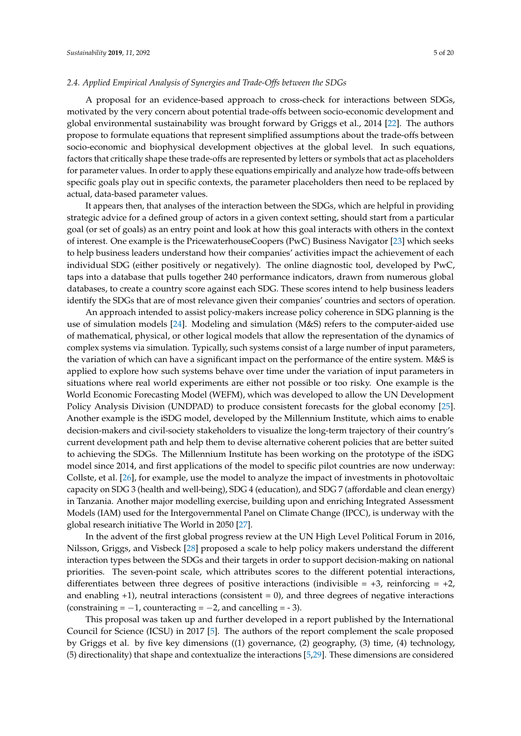### *2.4. Applied Empirical Analysis of Synergies and Trade-Offs between the SDGs*

A proposal for an evidence-based approach to cross-check for interactions between SDGs, motivated by the very concern about potential trade-offs between socio-economic development and global environmental sustainability was brought forward by Griggs et al., 2014 [\[22\]](#page-17-14). The authors propose to formulate equations that represent simplified assumptions about the trade-offs between socio-economic and biophysical development objectives at the global level. In such equations, factors that critically shape these trade-offs are represented by letters or symbols that act as placeholders for parameter values. In order to apply these equations empirically and analyze how trade-offs between specific goals play out in specific contexts, the parameter placeholders then need to be replaced by actual, data-based parameter values.

It appears then, that analyses of the interaction between the SDGs, which are helpful in providing strategic advice for a defined group of actors in a given context setting, should start from a particular goal (or set of goals) as an entry point and look at how this goal interacts with others in the context of interest. One example is the PricewaterhouseCoopers (PwC) Business Navigator [\[23\]](#page-17-15) which seeks to help business leaders understand how their companies' activities impact the achievement of each individual SDG (either positively or negatively). The online diagnostic tool, developed by PwC, taps into a database that pulls together 240 performance indicators, drawn from numerous global databases, to create a country score against each SDG. These scores intend to help business leaders identify the SDGs that are of most relevance given their companies' countries and sectors of operation.

An approach intended to assist policy-makers increase policy coherence in SDG planning is the use of simulation models [\[24\]](#page-17-16). Modeling and simulation (M&S) refers to the computer-aided use of mathematical, physical, or other logical models that allow the representation of the dynamics of complex systems via simulation. Typically, such systems consist of a large number of input parameters, the variation of which can have a significant impact on the performance of the entire system. M&S is applied to explore how such systems behave over time under the variation of input parameters in situations where real world experiments are either not possible or too risky. One example is the World Economic Forecasting Model (WEFM), which was developed to allow the UN Development Policy Analysis Division (UNDPAD) to produce consistent forecasts for the global economy [\[25\]](#page-17-17). Another example is the iSDG model, developed by the Millennium Institute, which aims to enable decision-makers and civil-society stakeholders to visualize the long-term trajectory of their country's current development path and help them to devise alternative coherent policies that are better suited to achieving the SDGs. The Millennium Institute has been working on the prototype of the iSDG model since 2014, and first applications of the model to specific pilot countries are now underway: Collste, et al. [\[26\]](#page-17-18), for example, use the model to analyze the impact of investments in photovoltaic capacity on SDG 3 (health and well-being), SDG 4 (education), and SDG 7 (affordable and clean energy) in Tanzania. Another major modelling exercise, building upon and enriching Integrated Assessment Models (IAM) used for the Intergovernmental Panel on Climate Change (IPCC), is underway with the global research initiative The World in 2050 [\[27\]](#page-18-0).

In the advent of the first global progress review at the UN High Level Political Forum in 2016, Nilsson, Griggs, and Visbeck [\[28\]](#page-18-1) proposed a scale to help policy makers understand the different interaction types between the SDGs and their targets in order to support decision-making on national priorities. The seven-point scale, which attributes scores to the different potential interactions, differentiates between three degrees of positive interactions (indivisible  $= +3$ , reinforcing  $= +2$ , and enabling  $+1$ ), neutral interactions (consistent = 0), and three degrees of negative interactions (constraining =  $-1$ , counteracting =  $-2$ , and cancelling =  $-3$ ).

This proposal was taken up and further developed in a report published by the International Council for Science (ICSU) in 2017 [\[5\]](#page-16-4). The authors of the report complement the scale proposed by Griggs et al. by five key dimensions ((1) governance, (2) geography, (3) time, (4) technology, (5) directionality) that shape and contextualize the interactions [\[5,](#page-16-4)[29\]](#page-18-2). These dimensions are considered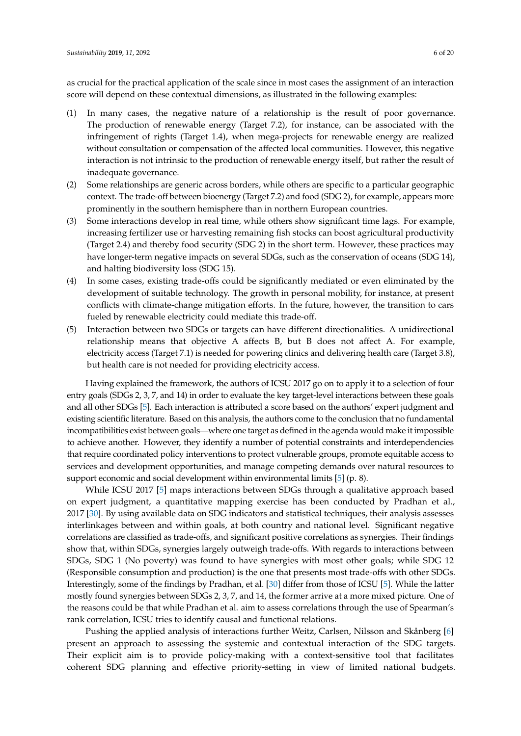as crucial for the practical application of the scale since in most cases the assignment of an interaction score will depend on these contextual dimensions, as illustrated in the following examples:

- (1) In many cases, the negative nature of a relationship is the result of poor governance. The production of renewable energy (Target 7.2), for instance, can be associated with the infringement of rights (Target 1.4), when mega-projects for renewable energy are realized without consultation or compensation of the affected local communities. However, this negative interaction is not intrinsic to the production of renewable energy itself, but rather the result of inadequate governance.
- (2) Some relationships are generic across borders, while others are specific to a particular geographic context. The trade-off between bioenergy (Target 7.2) and food (SDG 2), for example, appears more prominently in the southern hemisphere than in northern European countries.
- (3) Some interactions develop in real time, while others show significant time lags. For example, increasing fertilizer use or harvesting remaining fish stocks can boost agricultural productivity (Target 2.4) and thereby food security (SDG 2) in the short term. However, these practices may have longer-term negative impacts on several SDGs, such as the conservation of oceans (SDG 14), and halting biodiversity loss (SDG 15).
- (4) In some cases, existing trade-offs could be significantly mediated or even eliminated by the development of suitable technology. The growth in personal mobility, for instance, at present conflicts with climate-change mitigation efforts. In the future, however, the transition to cars fueled by renewable electricity could mediate this trade-off.
- (5) Interaction between two SDGs or targets can have different directionalities. A unidirectional relationship means that objective A affects B, but B does not affect A. For example, electricity access (Target 7.1) is needed for powering clinics and delivering health care (Target 3.8), but health care is not needed for providing electricity access.

Having explained the framework, the authors of ICSU 2017 go on to apply it to a selection of four entry goals (SDGs 2, 3, 7, and 14) in order to evaluate the key target-level interactions between these goals and all other SDGs [\[5\]](#page-16-4). Each interaction is attributed a score based on the authors' expert judgment and existing scientific literature. Based on this analysis, the authors come to the conclusion that no fundamental incompatibilities exist between goals—where one target as defined in the agenda would make it impossible to achieve another. However, they identify a number of potential constraints and interdependencies that require coordinated policy interventions to protect vulnerable groups, promote equitable access to services and development opportunities, and manage competing demands over natural resources to support economic and social development within environmental limits [\[5\]](#page-16-4) (p. 8).

While ICSU 2017 [\[5\]](#page-16-4) maps interactions between SDGs through a qualitative approach based on expert judgment, a quantitative mapping exercise has been conducted by Pradhan et al., 2017 [\[30\]](#page-18-3). By using available data on SDG indicators and statistical techniques, their analysis assesses interlinkages between and within goals, at both country and national level. Significant negative correlations are classified as trade-offs, and significant positive correlations as synergies. Their findings show that, within SDGs, synergies largely outweigh trade-offs. With regards to interactions between SDGs, SDG 1 (No poverty) was found to have synergies with most other goals; while SDG 12 (Responsible consumption and production) is the one that presents most trade-offs with other SDGs. Interestingly, some of the findings by Pradhan, et al. [\[30\]](#page-18-3) differ from those of ICSU [\[5\]](#page-16-4). While the latter mostly found synergies between SDGs 2, 3, 7, and 14, the former arrive at a more mixed picture. One of the reasons could be that while Pradhan et al. aim to assess correlations through the use of Spearman's rank correlation, ICSU tries to identify causal and functional relations.

Pushing the applied analysis of interactions further Weitz, Carlsen, Nilsson and Skånberg [\[6\]](#page-16-5) present an approach to assessing the systemic and contextual interaction of the SDG targets. Their explicit aim is to provide policy-making with a context-sensitive tool that facilitates coherent SDG planning and effective priority-setting in view of limited national budgets.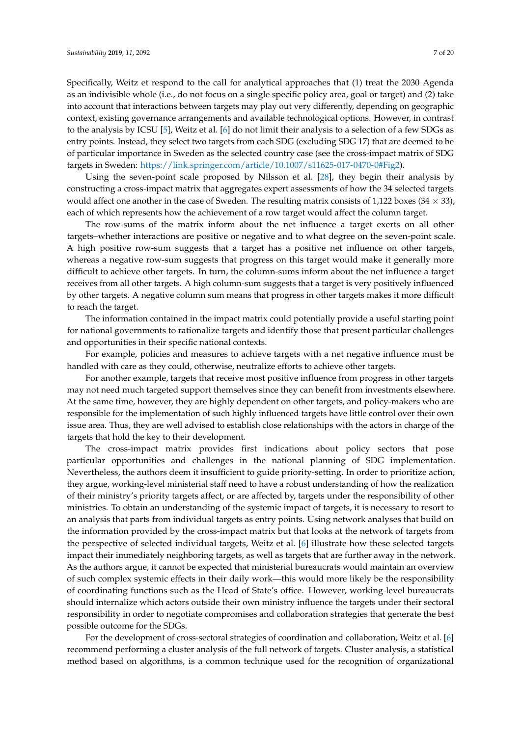Specifically, Weitz et respond to the call for analytical approaches that (1) treat the 2030 Agenda as an indivisible whole (i.e., do not focus on a single specific policy area, goal or target) and (2) take into account that interactions between targets may play out very differently, depending on geographic context, existing governance arrangements and available technological options. However, in contrast to the analysis by ICSU [\[5\]](#page-16-4), Weitz et al. [\[6\]](#page-16-5) do not limit their analysis to a selection of a few SDGs as entry points. Instead, they select two targets from each SDG (excluding SDG 17) that are deemed to be of particular importance in Sweden as the selected country case (see the cross-impact matrix of SDG targets in Sweden: [https://link.springer.com/article/10.1007/s11625-017-0470-0#Fig2\)](https://link.springer.com/article/10.1007/s11625-017-0470-0#Fig2).

Using the seven-point scale proposed by Nilsson et al. [\[28\]](#page-18-1), they begin their analysis by constructing a cross-impact matrix that aggregates expert assessments of how the 34 selected targets would affect one another in the case of Sweden. The resulting matrix consists of 1,122 boxes (34  $\times$  33), each of which represents how the achievement of a row target would affect the column target.

The row-sums of the matrix inform about the net influence a target exerts on all other targets–whether interactions are positive or negative and to what degree on the seven-point scale. A high positive row-sum suggests that a target has a positive net influence on other targets, whereas a negative row-sum suggests that progress on this target would make it generally more difficult to achieve other targets. In turn, the column-sums inform about the net influence a target receives from all other targets. A high column-sum suggests that a target is very positively influenced by other targets. A negative column sum means that progress in other targets makes it more difficult to reach the target.

The information contained in the impact matrix could potentially provide a useful starting point for national governments to rationalize targets and identify those that present particular challenges and opportunities in their specific national contexts.

For example, policies and measures to achieve targets with a net negative influence must be handled with care as they could, otherwise, neutralize efforts to achieve other targets.

For another example, targets that receive most positive influence from progress in other targets may not need much targeted support themselves since they can benefit from investments elsewhere. At the same time, however, they are highly dependent on other targets, and policy-makers who are responsible for the implementation of such highly influenced targets have little control over their own issue area. Thus, they are well advised to establish close relationships with the actors in charge of the targets that hold the key to their development.

The cross-impact matrix provides first indications about policy sectors that pose particular opportunities and challenges in the national planning of SDG implementation. Nevertheless, the authors deem it insufficient to guide priority-setting. In order to prioritize action, they argue, working-level ministerial staff need to have a robust understanding of how the realization of their ministry's priority targets affect, or are affected by, targets under the responsibility of other ministries. To obtain an understanding of the systemic impact of targets, it is necessary to resort to an analysis that parts from individual targets as entry points. Using network analyses that build on the information provided by the cross-impact matrix but that looks at the network of targets from the perspective of selected individual targets, Weitz et al. [\[6\]](#page-16-5) illustrate how these selected targets impact their immediately neighboring targets, as well as targets that are further away in the network. As the authors argue, it cannot be expected that ministerial bureaucrats would maintain an overview of such complex systemic effects in their daily work—this would more likely be the responsibility of coordinating functions such as the Head of State's office. However, working-level bureaucrats should internalize which actors outside their own ministry influence the targets under their sectoral responsibility in order to negotiate compromises and collaboration strategies that generate the best possible outcome for the SDGs.

For the development of cross-sectoral strategies of coordination and collaboration, Weitz et al. [\[6\]](#page-16-5) recommend performing a cluster analysis of the full network of targets. Cluster analysis, a statistical method based on algorithms, is a common technique used for the recognition of organizational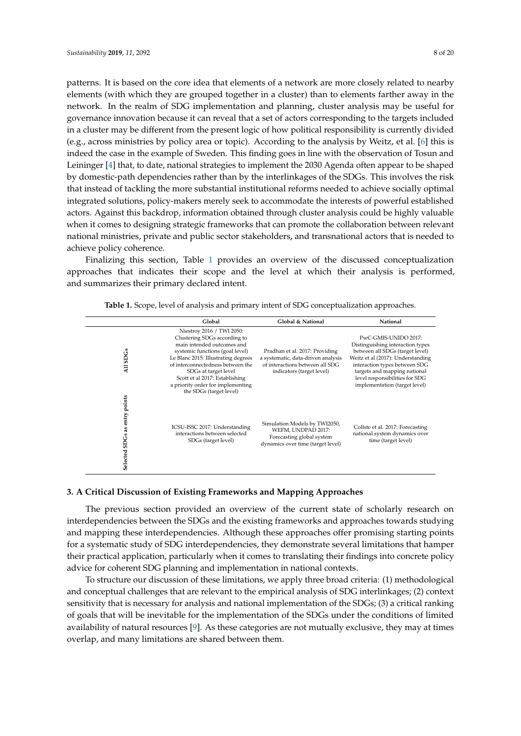patterns. It is based on the core idea that elements of a network are more closely related to nearby elements (with which they are grouped together in a cluster) than to elements farther away in the network. In the realm of SDG implementation and planning, cluster analysis may be useful for governance innovation because it can reveal that a set of actors corresponding to the targets included in a cluster may be different from the present logic of how political responsibility is currently divided (e.g., across ministries by policy area or topic). According to the analysis by Weitz, et al. [\[6\]](#page-16-5) this is indeed the case in the example of Sweden. This finding goes in line with the observation of Tosun and Leininger [\[4\]](#page-16-3) that, to date, national strategies to implement the 2030 Agenda often appear to be shaped by domestic-path dependencies rather than by the interlinkages of the SDGs. This involves the risk that instead of tackling the more substantial institutional reforms needed to achieve socially optimal integrated solutions, policy-makers merely seek to accommodate the interests of powerful established actors. Against this backdrop, information obtained through cluster analysis could be highly valuable when it comes to designing strategic frameworks that can promote the collaboration between relevant national ministries, private and public sector stakeholders, and transnational actors that is needed to achieve policy coherence.

Finalizing this section, Table [1](#page-7-1) provides an overview of the discussed conceptualization approaches that indicates their scope and the level at which their analysis is performed, and summarizes their primary declared intent.

<span id="page-7-1"></span>

|                                                 | Global                                                                                                                                                                                                                                                                                                                           | Global & National                                                                                                                    | National                                                                                                                                                                                                                                                             |
|-------------------------------------------------|----------------------------------------------------------------------------------------------------------------------------------------------------------------------------------------------------------------------------------------------------------------------------------------------------------------------------------|--------------------------------------------------------------------------------------------------------------------------------------|----------------------------------------------------------------------------------------------------------------------------------------------------------------------------------------------------------------------------------------------------------------------|
| <b>SDGs</b><br>$\overline{a}$                   | Niestroy 2016 / TWI 2050:<br>Clustering SDGs according to<br>main intended outcomes and<br>systemic functions (goal level)<br>Le Blanc 2015: Illustrating degrees<br>of interconnectedness between the<br>SDGs at target level<br>Scott et al 2017: Establishing<br>a priority order for implementing<br>the SDGs (target level) | Pradhan et al. 2017: Providing<br>a systematic, data-driven analysis<br>of interactions between all SDG<br>indicators (target level) | PwC-GMIS-UNIDO 2017:<br>Distinguishing interaction types<br>between all SDGs (target level)<br>Weitz et al (2017): Understanding<br>interaction types between SDG<br>targets and mapping national<br>level responsibilities for SDG<br>implementation (target level) |
| as entry points<br>SD <sub>Gs</sub><br>Selected | ICSU-ISSC 2017: Understanding<br>interactions between selected<br>SDGs (target level)                                                                                                                                                                                                                                            | Simulation Models by TWI2050,<br>WEFM, UNDPAD 2017:<br>Forecasting global system<br>dynamics over time (target level)                | Collste et al. 2017: Forecasting<br>national system dynamics over<br>time (target level)                                                                                                                                                                             |

**Table 1.** Scope, level of analysis and primary intent of SDG conceptualization approaches.

# <span id="page-7-0"></span>**3. A Critical Discussion of Existing Frameworks and Mapping Approaches**

The previous section provided an overview of the current state of scholarly research on interdependencies between the SDGs and the existing frameworks and approaches towards studying and mapping these interdependencies. Although these approaches offer promising starting points for a systematic study of SDG interdependencies, they demonstrate several limitations that hamper their practical application, particularly when it comes to translating their findings into concrete policy advice for coherent SDG planning and implementation in national contexts.

To structure our discussion of these limitations, we apply three broad criteria: (1) methodological and conceptual challenges that are relevant to the empirical analysis of SDG interlinkages; (2) context sensitivity that is necessary for analysis and national implementation of the SDGs; (3) a critical ranking of goals that will be inevitable for the implementation of the SDGs under the conditions of limited availability of natural resources [\[9\]](#page-17-2). As these categories are not mutually exclusive, they may at times overlap, and many limitations are shared between them.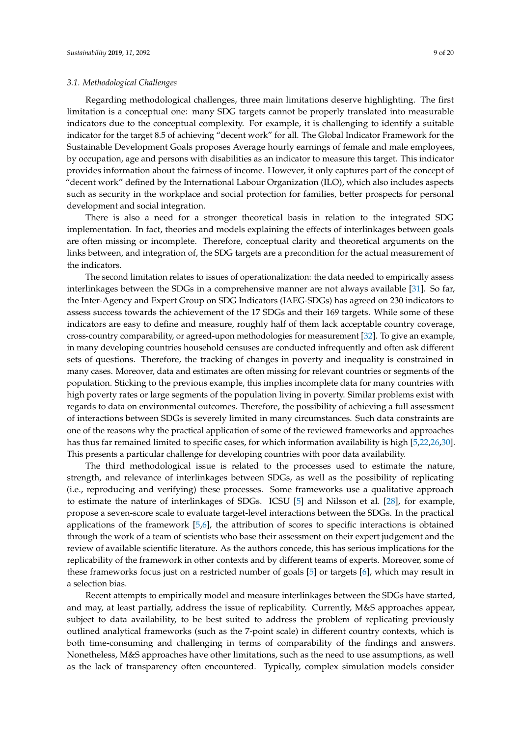Regarding methodological challenges, three main limitations deserve highlighting. The first limitation is a conceptual one: many SDG targets cannot be properly translated into measurable indicators due to the conceptual complexity. For example, it is challenging to identify a suitable indicator for the target 8.5 of achieving "decent work" for all. The Global Indicator Framework for the Sustainable Development Goals proposes Average hourly earnings of female and male employees, by occupation, age and persons with disabilities as an indicator to measure this target. This indicator provides information about the fairness of income. However, it only captures part of the concept of "decent work" defined by the International Labour Organization (ILO), which also includes aspects such as security in the workplace and social protection for families, better prospects for personal development and social integration.

There is also a need for a stronger theoretical basis in relation to the integrated SDG implementation. In fact, theories and models explaining the effects of interlinkages between goals are often missing or incomplete. Therefore, conceptual clarity and theoretical arguments on the links between, and integration of, the SDG targets are a precondition for the actual measurement of the indicators.

The second limitation relates to issues of operationalization: the data needed to empirically assess interlinkages between the SDGs in a comprehensive manner are not always available [\[31\]](#page-18-4). So far, the Inter-Agency and Expert Group on SDG Indicators (IAEG-SDGs) has agreed on 230 indicators to assess success towards the achievement of the 17 SDGs and their 169 targets. While some of these indicators are easy to define and measure, roughly half of them lack acceptable country coverage, cross-country comparability, or agreed-upon methodologies for measurement [\[32\]](#page-18-5). To give an example, in many developing countries household censuses are conducted infrequently and often ask different sets of questions. Therefore, the tracking of changes in poverty and inequality is constrained in many cases. Moreover, data and estimates are often missing for relevant countries or segments of the population. Sticking to the previous example, this implies incomplete data for many countries with high poverty rates or large segments of the population living in poverty. Similar problems exist with regards to data on environmental outcomes. Therefore, the possibility of achieving a full assessment of interactions between SDGs is severely limited in many circumstances. Such data constraints are one of the reasons why the practical application of some of the reviewed frameworks and approaches has thus far remained limited to specific cases, for which information availability is high [\[5,](#page-16-4)[22,](#page-17-14)[26,](#page-17-18)[30\]](#page-18-3). This presents a particular challenge for developing countries with poor data availability.

The third methodological issue is related to the processes used to estimate the nature, strength, and relevance of interlinkages between SDGs, as well as the possibility of replicating (i.e., reproducing and verifying) these processes. Some frameworks use a qualitative approach to estimate the nature of interlinkages of SDGs. ICSU [\[5\]](#page-16-4) and Nilsson et al. [\[28\]](#page-18-1), for example, propose a seven-score scale to evaluate target-level interactions between the SDGs. In the practical applications of the framework [\[5,](#page-16-4)[6\]](#page-16-5), the attribution of scores to specific interactions is obtained through the work of a team of scientists who base their assessment on their expert judgement and the review of available scientific literature. As the authors concede, this has serious implications for the replicability of the framework in other contexts and by different teams of experts. Moreover, some of these frameworks focus just on a restricted number of goals [\[5\]](#page-16-4) or targets [\[6\]](#page-16-5), which may result in a selection bias.

Recent attempts to empirically model and measure interlinkages between the SDGs have started, and may, at least partially, address the issue of replicability. Currently, M&S approaches appear, subject to data availability, to be best suited to address the problem of replicating previously outlined analytical frameworks (such as the 7-point scale) in different country contexts, which is both time-consuming and challenging in terms of comparability of the findings and answers. Nonetheless, M&S approaches have other limitations, such as the need to use assumptions, as well as the lack of transparency often encountered. Typically, complex simulation models consider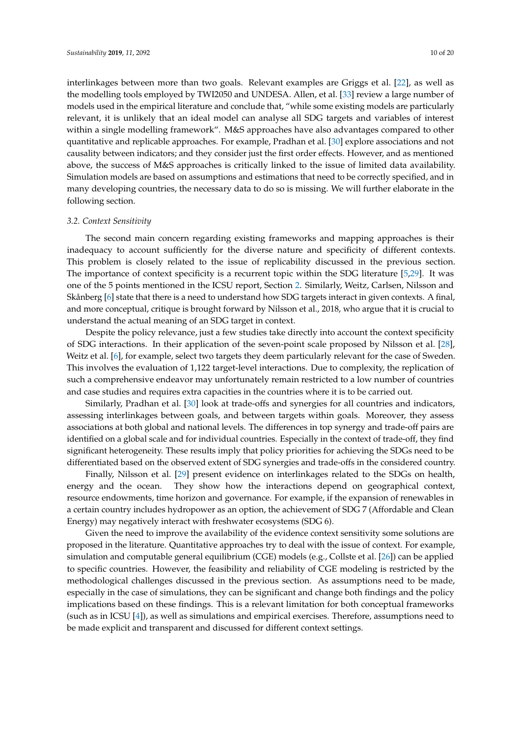interlinkages between more than two goals. Relevant examples are Griggs et al. [\[22\]](#page-17-14), as well as the modelling tools employed by TWI2050 and UNDESA. Allen, et al. [\[33\]](#page-18-6) review a large number of models used in the empirical literature and conclude that, "while some existing models are particularly relevant, it is unlikely that an ideal model can analyse all SDG targets and variables of interest within a single modelling framework". M&S approaches have also advantages compared to other quantitative and replicable approaches. For example, Pradhan et al. [\[30\]](#page-18-3) explore associations and not causality between indicators; and they consider just the first order effects. However, and as mentioned above, the success of M&S approaches is critically linked to the issue of limited data availability. Simulation models are based on assumptions and estimations that need to be correctly specified, and in many developing countries, the necessary data to do so is missing. We will further elaborate in the following section.

# <span id="page-9-0"></span>*3.2. Context Sensitivity*

The second main concern regarding existing frameworks and mapping approaches is their inadequacy to account sufficiently for the diverse nature and specificity of different contexts. This problem is closely related to the issue of replicability discussed in the previous section. The importance of context specificity is a recurrent topic within the SDG literature [\[5](#page-16-4)[,29\]](#page-18-2). It was one of the 5 points mentioned in the ICSU report, Section [2.](#page-1-0) Similarly, Weitz, Carlsen, Nilsson and Skånberg [\[6\]](#page-16-5) state that there is a need to understand how SDG targets interact in given contexts. A final, and more conceptual, critique is brought forward by Nilsson et al., 2018, who argue that it is crucial to understand the actual meaning of an SDG target in context.

Despite the policy relevance, just a few studies take directly into account the context specificity of SDG interactions. In their application of the seven-point scale proposed by Nilsson et al. [\[28\]](#page-18-1), Weitz et al. [\[6\]](#page-16-5), for example, select two targets they deem particularly relevant for the case of Sweden. This involves the evaluation of 1,122 target-level interactions. Due to complexity, the replication of such a comprehensive endeavor may unfortunately remain restricted to a low number of countries and case studies and requires extra capacities in the countries where it is to be carried out.

Similarly, Pradhan et al. [\[30\]](#page-18-3) look at trade-offs and synergies for all countries and indicators, assessing interlinkages between goals, and between targets within goals. Moreover, they assess associations at both global and national levels. The differences in top synergy and trade-off pairs are identified on a global scale and for individual countries. Especially in the context of trade-off, they find significant heterogeneity. These results imply that policy priorities for achieving the SDGs need to be differentiated based on the observed extent of SDG synergies and trade-offs in the considered country.

Finally, Nilsson et al. [\[29\]](#page-18-2) present evidence on interlinkages related to the SDGs on health, energy and the ocean. They show how the interactions depend on geographical context, resource endowments, time horizon and governance. For example, if the expansion of renewables in a certain country includes hydropower as an option, the achievement of SDG 7 (Affordable and Clean Energy) may negatively interact with freshwater ecosystems (SDG 6).

Given the need to improve the availability of the evidence context sensitivity some solutions are proposed in the literature. Quantitative approaches try to deal with the issue of context. For example, simulation and computable general equilibrium (CGE) models (e.g., Collste et al. [\[26\]](#page-17-18)) can be applied to specific countries. However, the feasibility and reliability of CGE modeling is restricted by the methodological challenges discussed in the previous section. As assumptions need to be made, especially in the case of simulations, they can be significant and change both findings and the policy implications based on these findings. This is a relevant limitation for both conceptual frameworks (such as in ICSU [\[4\]](#page-16-3)), as well as simulations and empirical exercises. Therefore, assumptions need to be made explicit and transparent and discussed for different context settings.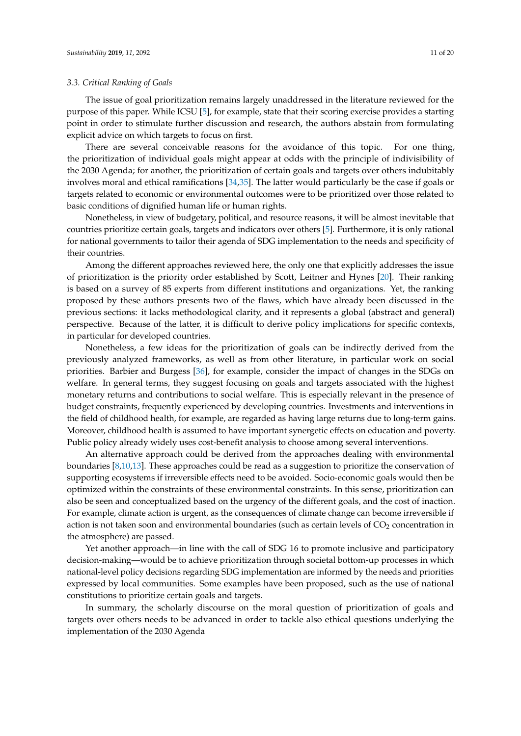#### *3.3. Critical Ranking of Goals*

The issue of goal prioritization remains largely unaddressed in the literature reviewed for the purpose of this paper. While ICSU [\[5\]](#page-16-4), for example, state that their scoring exercise provides a starting point in order to stimulate further discussion and research, the authors abstain from formulating explicit advice on which targets to focus on first.

There are several conceivable reasons for the avoidance of this topic. For one thing, the prioritization of individual goals might appear at odds with the principle of indivisibility of the 2030 Agenda; for another, the prioritization of certain goals and targets over others indubitably involves moral and ethical ramifications [\[34,](#page-18-7)[35\]](#page-18-8). The latter would particularly be the case if goals or targets related to economic or environmental outcomes were to be prioritized over those related to basic conditions of dignified human life or human rights.

Nonetheless, in view of budgetary, political, and resource reasons, it will be almost inevitable that countries prioritize certain goals, targets and indicators over others [\[5\]](#page-16-4). Furthermore, it is only rational for national governments to tailor their agenda of SDG implementation to the needs and specificity of their countries.

Among the different approaches reviewed here, the only one that explicitly addresses the issue of prioritization is the priority order established by Scott, Leitner and Hynes [\[20\]](#page-17-12). Their ranking is based on a survey of 85 experts from different institutions and organizations. Yet, the ranking proposed by these authors presents two of the flaws, which have already been discussed in the previous sections: it lacks methodological clarity, and it represents a global (abstract and general) perspective. Because of the latter, it is difficult to derive policy implications for specific contexts, in particular for developed countries.

Nonetheless, a few ideas for the prioritization of goals can be indirectly derived from the previously analyzed frameworks, as well as from other literature, in particular work on social priorities. Barbier and Burgess [\[36\]](#page-18-9), for example, consider the impact of changes in the SDGs on welfare. In general terms, they suggest focusing on goals and targets associated with the highest monetary returns and contributions to social welfare. This is especially relevant in the presence of budget constraints, frequently experienced by developing countries. Investments and interventions in the field of childhood health, for example, are regarded as having large returns due to long-term gains. Moreover, childhood health is assumed to have important synergetic effects on education and poverty. Public policy already widely uses cost-benefit analysis to choose among several interventions.

An alternative approach could be derived from the approaches dealing with environmental boundaries [\[8,](#page-17-1)[10](#page-17-3)[,13\]](#page-17-5). These approaches could be read as a suggestion to prioritize the conservation of supporting ecosystems if irreversible effects need to be avoided. Socio-economic goals would then be optimized within the constraints of these environmental constraints. In this sense, prioritization can also be seen and conceptualized based on the urgency of the different goals, and the cost of inaction. For example, climate action is urgent, as the consequences of climate change can become irreversible if action is not taken soon and environmental boundaries (such as certain levels of  $CO<sub>2</sub>$  concentration in the atmosphere) are passed.

Yet another approach—in line with the call of SDG 16 to promote inclusive and participatory decision-making—would be to achieve prioritization through societal bottom-up processes in which national-level policy decisions regarding SDG implementation are informed by the needs and priorities expressed by local communities. Some examples have been proposed, such as the use of national constitutions to prioritize certain goals and targets.

In summary, the scholarly discourse on the moral question of prioritization of goals and targets over others needs to be advanced in order to tackle also ethical questions underlying the implementation of the 2030 Agenda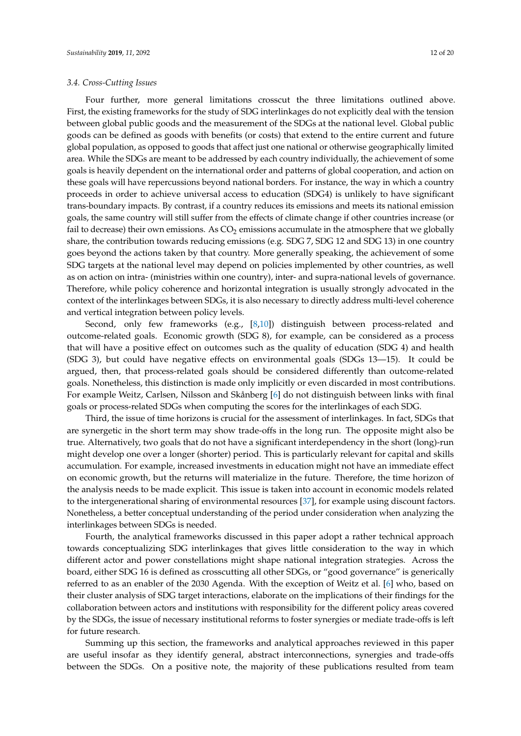## *3.4. Cross-Cutting Issues*

Four further, more general limitations crosscut the three limitations outlined above. First, the existing frameworks for the study of SDG interlinkages do not explicitly deal with the tension between global public goods and the measurement of the SDGs at the national level. Global public goods can be defined as goods with benefits (or costs) that extend to the entire current and future global population, as opposed to goods that affect just one national or otherwise geographically limited area. While the SDGs are meant to be addressed by each country individually, the achievement of some goals is heavily dependent on the international order and patterns of global cooperation, and action on these goals will have repercussions beyond national borders. For instance, the way in which a country proceeds in order to achieve universal access to education (SDG4) is unlikely to have significant trans-boundary impacts. By contrast, if a country reduces its emissions and meets its national emission goals, the same country will still suffer from the effects of climate change if other countries increase (or fail to decrease) their own emissions. As  $CO<sub>2</sub>$  emissions accumulate in the atmosphere that we globally share, the contribution towards reducing emissions (e.g. SDG 7, SDG 12 and SDG 13) in one country goes beyond the actions taken by that country. More generally speaking, the achievement of some SDG targets at the national level may depend on policies implemented by other countries, as well as on action on intra- (ministries within one country), inter- and supra-national levels of governance. Therefore, while policy coherence and horizontal integration is usually strongly advocated in the context of the interlinkages between SDGs, it is also necessary to directly address multi-level coherence and vertical integration between policy levels.

Second, only few frameworks (e.g., [\[8](#page-17-1)[,10\]](#page-17-3)) distinguish between process-related and outcome-related goals. Economic growth (SDG 8), for example, can be considered as a process that will have a positive effect on outcomes such as the quality of education (SDG 4) and health (SDG 3), but could have negative effects on environmental goals (SDGs 13—15). It could be argued, then, that process-related goals should be considered differently than outcome-related goals. Nonetheless, this distinction is made only implicitly or even discarded in most contributions. For example Weitz, Carlsen, Nilsson and Skånberg [\[6\]](#page-16-5) do not distinguish between links with final goals or process-related SDGs when computing the scores for the interlinkages of each SDG.

Third, the issue of time horizons is crucial for the assessment of interlinkages. In fact, SDGs that are synergetic in the short term may show trade-offs in the long run. The opposite might also be true. Alternatively, two goals that do not have a significant interdependency in the short (long)-run might develop one over a longer (shorter) period. This is particularly relevant for capital and skills accumulation. For example, increased investments in education might not have an immediate effect on economic growth, but the returns will materialize in the future. Therefore, the time horizon of the analysis needs to be made explicit. This issue is taken into account in economic models related to the intergenerational sharing of environmental resources [\[37\]](#page-18-10), for example using discount factors. Nonetheless, a better conceptual understanding of the period under consideration when analyzing the interlinkages between SDGs is needed.

Fourth, the analytical frameworks discussed in this paper adopt a rather technical approach towards conceptualizing SDG interlinkages that gives little consideration to the way in which different actor and power constellations might shape national integration strategies. Across the board, either SDG 16 is defined as crosscutting all other SDGs, or "good governance" is generically referred to as an enabler of the 2030 Agenda. With the exception of Weitz et al. [\[6\]](#page-16-5) who, based on their cluster analysis of SDG target interactions, elaborate on the implications of their findings for the collaboration between actors and institutions with responsibility for the different policy areas covered by the SDGs, the issue of necessary institutional reforms to foster synergies or mediate trade-offs is left for future research.

Summing up this section, the frameworks and analytical approaches reviewed in this paper are useful insofar as they identify general, abstract interconnections, synergies and trade-offs between the SDGs. On a positive note, the majority of these publications resulted from team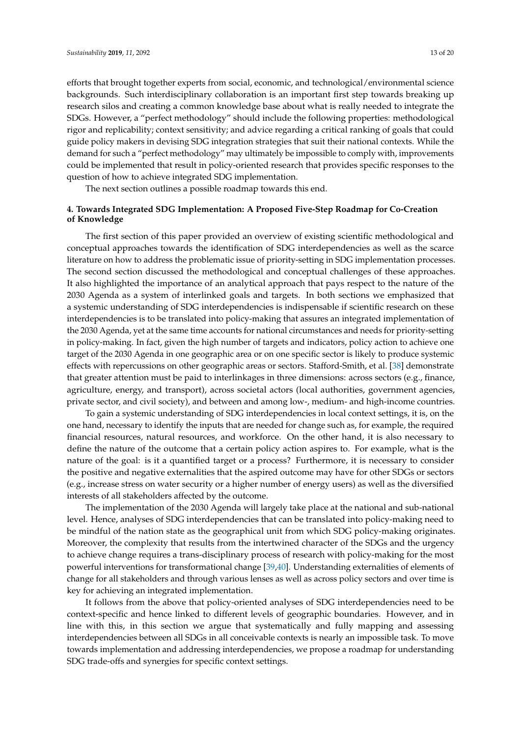efforts that brought together experts from social, economic, and technological/environmental science backgrounds. Such interdisciplinary collaboration is an important first step towards breaking up research silos and creating a common knowledge base about what is really needed to integrate the SDGs. However, a "perfect methodology" should include the following properties: methodological rigor and replicability; context sensitivity; and advice regarding a critical ranking of goals that could guide policy makers in devising SDG integration strategies that suit their national contexts. While the demand for such a "perfect methodology" may ultimately be impossible to comply with, improvements could be implemented that result in policy-oriented research that provides specific responses to the question of how to achieve integrated SDG implementation.

The next section outlines a possible roadmap towards this end.

# <span id="page-12-0"></span>**4. Towards Integrated SDG Implementation: A Proposed Five-Step Roadmap for Co-Creation of Knowledge**

The first section of this paper provided an overview of existing scientific methodological and conceptual approaches towards the identification of SDG interdependencies as well as the scarce literature on how to address the problematic issue of priority-setting in SDG implementation processes. The second section discussed the methodological and conceptual challenges of these approaches. It also highlighted the importance of an analytical approach that pays respect to the nature of the 2030 Agenda as a system of interlinked goals and targets. In both sections we emphasized that a systemic understanding of SDG interdependencies is indispensable if scientific research on these interdependencies is to be translated into policy-making that assures an integrated implementation of the 2030 Agenda, yet at the same time accounts for national circumstances and needs for priority-setting in policy-making. In fact, given the high number of targets and indicators, policy action to achieve one target of the 2030 Agenda in one geographic area or on one specific sector is likely to produce systemic effects with repercussions on other geographic areas or sectors. Stafford-Smith, et al. [\[38\]](#page-18-11) demonstrate that greater attention must be paid to interlinkages in three dimensions: across sectors (e.g., finance, agriculture, energy, and transport), across societal actors (local authorities, government agencies, private sector, and civil society), and between and among low-, medium- and high-income countries.

To gain a systemic understanding of SDG interdependencies in local context settings, it is, on the one hand, necessary to identify the inputs that are needed for change such as, for example, the required financial resources, natural resources, and workforce. On the other hand, it is also necessary to define the nature of the outcome that a certain policy action aspires to. For example, what is the nature of the goal: is it a quantified target or a process? Furthermore, it is necessary to consider the positive and negative externalities that the aspired outcome may have for other SDGs or sectors (e.g., increase stress on water security or a higher number of energy users) as well as the diversified interests of all stakeholders affected by the outcome.

The implementation of the 2030 Agenda will largely take place at the national and sub-national level. Hence, analyses of SDG interdependencies that can be translated into policy-making need to be mindful of the nation state as the geographical unit from which SDG policy-making originates. Moreover, the complexity that results from the intertwined character of the SDGs and the urgency to achieve change requires a trans-disciplinary process of research with policy-making for the most powerful interventions for transformational change [\[39,](#page-18-12)[40\]](#page-18-13). Understanding externalities of elements of change for all stakeholders and through various lenses as well as across policy sectors and over time is key for achieving an integrated implementation.

It follows from the above that policy-oriented analyses of SDG interdependencies need to be context-specific and hence linked to different levels of geographic boundaries. However, and in line with this, in this section we argue that systematically and fully mapping and assessing interdependencies between all SDGs in all conceivable contexts is nearly an impossible task. To move towards implementation and addressing interdependencies, we propose a roadmap for understanding SDG trade-offs and synergies for specific context settings.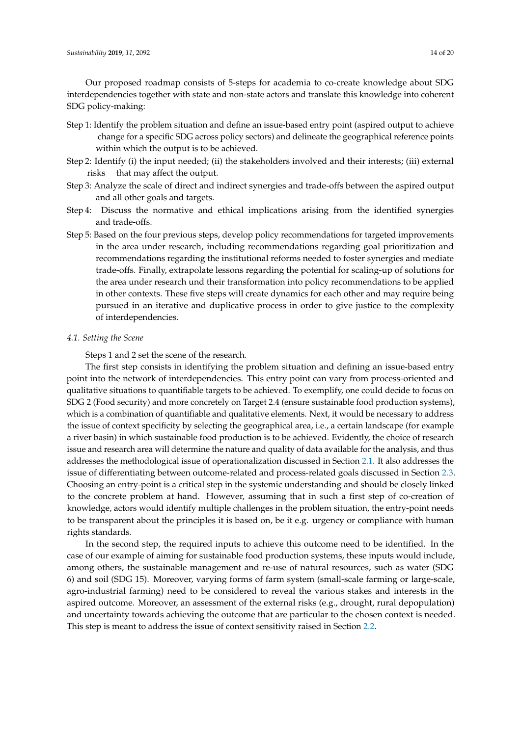Our proposed roadmap consists of 5-steps for academia to co-create knowledge about SDG interdependencies together with state and non-state actors and translate this knowledge into coherent SDG policy-making:

- Step 1: Identify the problem situation and define an issue-based entry point (aspired output to achieve change for a specific SDG across policy sectors) and delineate the geographical reference points within which the output is to be achieved.
- Step 2: Identify (i) the input needed; (ii) the stakeholders involved and their interests; (iii) external risks that may affect the output.
- Step 3: Analyze the scale of direct and indirect synergies and trade-offs between the aspired output and all other goals and targets.
- Step 4: Discuss the normative and ethical implications arising from the identified synergies and trade-offs.
- Step 5: Based on the four previous steps, develop policy recommendations for targeted improvements in the area under research, including recommendations regarding goal prioritization and recommendations regarding the institutional reforms needed to foster synergies and mediate trade-offs. Finally, extrapolate lessons regarding the potential for scaling-up of solutions for the area under research und their transformation into policy recommendations to be applied in other contexts. These five steps will create dynamics for each other and may require being pursued in an iterative and duplicative process in order to give justice to the complexity of interdependencies.

# *4.1. Setting the Scene*

Steps 1 and 2 set the scene of the research.

The first step consists in identifying the problem situation and defining an issue-based entry point into the network of interdependencies. This entry point can vary from process-oriented and qualitative situations to quantifiable targets to be achieved. To exemplify, one could decide to focus on SDG 2 (Food security) and more concretely on Target 2.4 (ensure sustainable food production systems), which is a combination of quantifiable and qualitative elements. Next, it would be necessary to address the issue of context specificity by selecting the geographical area, i.e., a certain landscape (for example a river basin) in which sustainable food production is to be achieved. Evidently, the choice of research issue and research area will determine the nature and quality of data available for the analysis, and thus addresses the methodological issue of operationalization discussed in Section [2.1.](#page-2-0) It also addresses the issue of differentiating between outcome-related and process-related goals discussed in Section [2.3.](#page-3-0) Choosing an entry-point is a critical step in the systemic understanding and should be closely linked to the concrete problem at hand. However, assuming that in such a first step of co-creation of knowledge, actors would identify multiple challenges in the problem situation, the entry-point needs to be transparent about the principles it is based on, be it e.g. urgency or compliance with human rights standards.

In the second step, the required inputs to achieve this outcome need to be identified. In the case of our example of aiming for sustainable food production systems, these inputs would include, among others, the sustainable management and re-use of natural resources, such as water (SDG 6) and soil (SDG 15). Moreover, varying forms of farm system (small-scale farming or large-scale, agro-industrial farming) need to be considered to reveal the various stakes and interests in the aspired outcome. Moreover, an assessment of the external risks (e.g., drought, rural depopulation) and uncertainty towards achieving the outcome that are particular to the chosen context is needed. This step is meant to address the issue of context sensitivity raised in Section [2.2.](#page-3-1)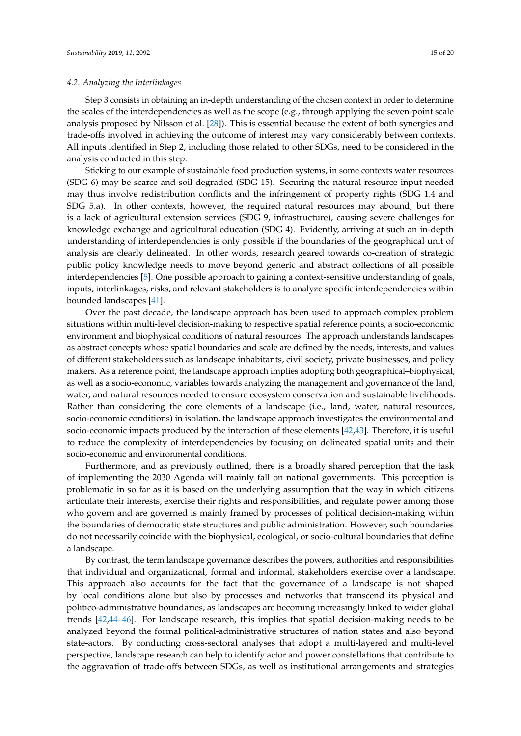## *4.2. Analyzing the Interlinkages*

Step 3 consists in obtaining an in-depth understanding of the chosen context in order to determine the scales of the interdependencies as well as the scope (e.g., through applying the seven-point scale analysis proposed by Nilsson et al. [\[28\]](#page-18-1)). This is essential because the extent of both synergies and trade-offs involved in achieving the outcome of interest may vary considerably between contexts. All inputs identified in Step 2, including those related to other SDGs, need to be considered in the analysis conducted in this step.

Sticking to our example of sustainable food production systems, in some contexts water resources (SDG 6) may be scarce and soil degraded (SDG 15). Securing the natural resource input needed may thus involve redistribution conflicts and the infringement of property rights (SDG 1.4 and SDG 5.a). In other contexts, however, the required natural resources may abound, but there is a lack of agricultural extension services (SDG 9, infrastructure), causing severe challenges for knowledge exchange and agricultural education (SDG 4). Evidently, arriving at such an in-depth understanding of interdependencies is only possible if the boundaries of the geographical unit of analysis are clearly delineated. In other words, research geared towards co-creation of strategic public policy knowledge needs to move beyond generic and abstract collections of all possible interdependencies [\[5\]](#page-16-4). One possible approach to gaining a context-sensitive understanding of goals, inputs, interlinkages, risks, and relevant stakeholders is to analyze specific interdependencies within bounded landscapes [\[41\]](#page-18-14).

Over the past decade, the landscape approach has been used to approach complex problem situations within multi-level decision-making to respective spatial reference points, a socio-economic environment and biophysical conditions of natural resources. The approach understands landscapes as abstract concepts whose spatial boundaries and scale are defined by the needs, interests, and values of different stakeholders such as landscape inhabitants, civil society, private businesses, and policy makers. As a reference point, the landscape approach implies adopting both geographical–biophysical, as well as a socio-economic, variables towards analyzing the management and governance of the land, water, and natural resources needed to ensure ecosystem conservation and sustainable livelihoods. Rather than considering the core elements of a landscape (i.e., land, water, natural resources, socio-economic conditions) in isolation, the landscape approach investigates the environmental and socio-economic impacts produced by the interaction of these elements [\[42](#page-18-15)[,43\]](#page-18-16). Therefore, it is useful to reduce the complexity of interdependencies by focusing on delineated spatial units and their socio-economic and environmental conditions.

Furthermore, and as previously outlined, there is a broadly shared perception that the task of implementing the 2030 Agenda will mainly fall on national governments. This perception is problematic in so far as it is based on the underlying assumption that the way in which citizens articulate their interests, exercise their rights and responsibilities, and regulate power among those who govern and are governed is mainly framed by processes of political decision-making within the boundaries of democratic state structures and public administration. However, such boundaries do not necessarily coincide with the biophysical, ecological, or socio-cultural boundaries that define a landscape.

By contrast, the term landscape governance describes the powers, authorities and responsibilities that individual and organizational, formal and informal, stakeholders exercise over a landscape. This approach also accounts for the fact that the governance of a landscape is not shaped by local conditions alone but also by processes and networks that transcend its physical and politico-administrative boundaries, as landscapes are becoming increasingly linked to wider global trends [\[42,](#page-18-15)[44–](#page-18-17)[46\]](#page-18-18). For landscape research, this implies that spatial decision-making needs to be analyzed beyond the formal political-administrative structures of nation states and also beyond state-actors. By conducting cross-sectoral analyses that adopt a multi-layered and multi-level perspective, landscape research can help to identify actor and power constellations that contribute to the aggravation of trade-offs between SDGs, as well as institutional arrangements and strategies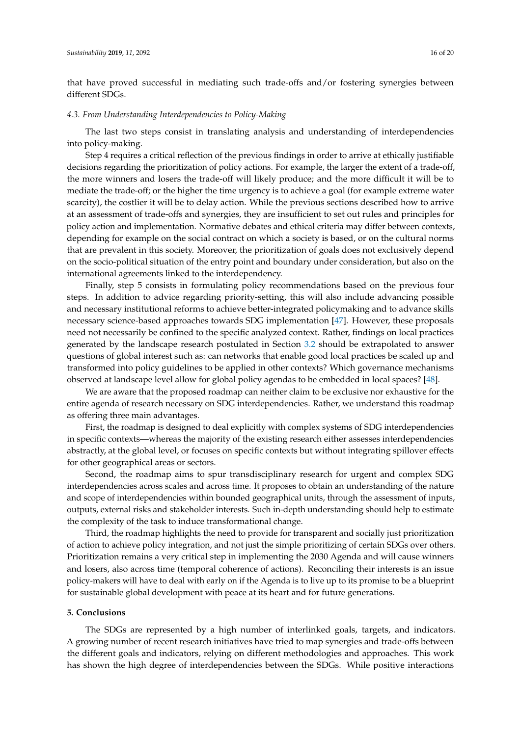that have proved successful in mediating such trade-offs and/or fostering synergies between different SDGs.

#### *4.3. From Understanding Interdependencies to Policy-Making*

The last two steps consist in translating analysis and understanding of interdependencies into policy-making.

Step 4 requires a critical reflection of the previous findings in order to arrive at ethically justifiable decisions regarding the prioritization of policy actions. For example, the larger the extent of a trade-off, the more winners and losers the trade-off will likely produce; and the more difficult it will be to mediate the trade-off; or the higher the time urgency is to achieve a goal (for example extreme water scarcity), the costlier it will be to delay action. While the previous sections described how to arrive at an assessment of trade-offs and synergies, they are insufficient to set out rules and principles for policy action and implementation. Normative debates and ethical criteria may differ between contexts, depending for example on the social contract on which a society is based, or on the cultural norms that are prevalent in this society. Moreover, the prioritization of goals does not exclusively depend on the socio-political situation of the entry point and boundary under consideration, but also on the international agreements linked to the interdependency.

Finally, step 5 consists in formulating policy recommendations based on the previous four steps. In addition to advice regarding priority-setting, this will also include advancing possible and necessary institutional reforms to achieve better-integrated policymaking and to advance skills necessary science-based approaches towards SDG implementation [\[47\]](#page-18-19). However, these proposals need not necessarily be confined to the specific analyzed context. Rather, findings on local practices generated by the landscape research postulated in Section [3.2](#page-9-0) should be extrapolated to answer questions of global interest such as: can networks that enable good local practices be scaled up and transformed into policy guidelines to be applied in other contexts? Which governance mechanisms observed at landscape level allow for global policy agendas to be embedded in local spaces? [\[48\]](#page-19-0).

We are aware that the proposed roadmap can neither claim to be exclusive nor exhaustive for the entire agenda of research necessary on SDG interdependencies. Rather, we understand this roadmap as offering three main advantages.

First, the roadmap is designed to deal explicitly with complex systems of SDG interdependencies in specific contexts—whereas the majority of the existing research either assesses interdependencies abstractly, at the global level, or focuses on specific contexts but without integrating spillover effects for other geographical areas or sectors.

Second, the roadmap aims to spur transdisciplinary research for urgent and complex SDG interdependencies across scales and across time. It proposes to obtain an understanding of the nature and scope of interdependencies within bounded geographical units, through the assessment of inputs, outputs, external risks and stakeholder interests. Such in-depth understanding should help to estimate the complexity of the task to induce transformational change.

Third, the roadmap highlights the need to provide for transparent and socially just prioritization of action to achieve policy integration, and not just the simple prioritizing of certain SDGs over others. Prioritization remains a very critical step in implementing the 2030 Agenda and will cause winners and losers, also across time (temporal coherence of actions). Reconciling their interests is an issue policy-makers will have to deal with early on if the Agenda is to live up to its promise to be a blueprint for sustainable global development with peace at its heart and for future generations.

#### **5. Conclusions**

The SDGs are represented by a high number of interlinked goals, targets, and indicators. A growing number of recent research initiatives have tried to map synergies and trade-offs between the different goals and indicators, relying on different methodologies and approaches. This work has shown the high degree of interdependencies between the SDGs. While positive interactions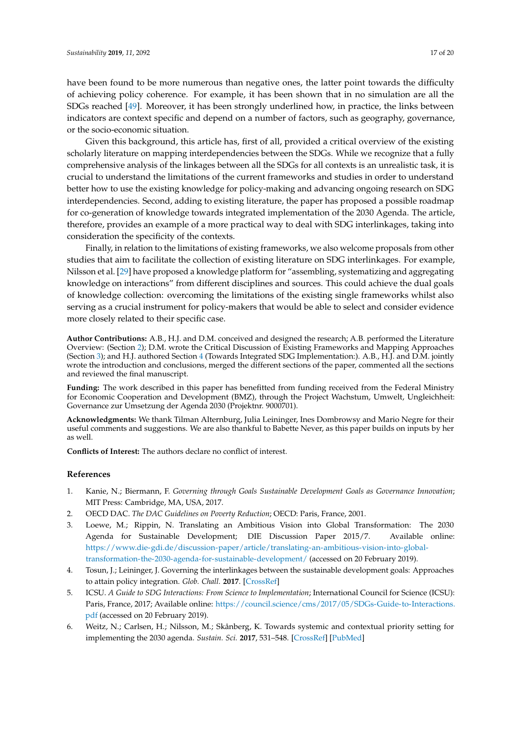have been found to be more numerous than negative ones, the latter point towards the difficulty of achieving policy coherence. For example, it has been shown that in no simulation are all the SDGs reached [\[49\]](#page-19-1). Moreover, it has been strongly underlined how, in practice, the links between indicators are context specific and depend on a number of factors, such as geography, governance, or the socio-economic situation.

Given this background, this article has, first of all, provided a critical overview of the existing scholarly literature on mapping interdependencies between the SDGs. While we recognize that a fully comprehensive analysis of the linkages between all the SDGs for all contexts is an unrealistic task, it is crucial to understand the limitations of the current frameworks and studies in order to understand better how to use the existing knowledge for policy-making and advancing ongoing research on SDG interdependencies. Second, adding to existing literature, the paper has proposed a possible roadmap for co-generation of knowledge towards integrated implementation of the 2030 Agenda. The article, therefore, provides an example of a more practical way to deal with SDG interlinkages, taking into consideration the specificity of the contexts.

Finally, in relation to the limitations of existing frameworks, we also welcome proposals from other studies that aim to facilitate the collection of existing literature on SDG interlinkages. For example, Nilsson et al. [\[29\]](#page-18-2) have proposed a knowledge platform for "assembling, systematizing and aggregating knowledge on interactions" from different disciplines and sources. This could achieve the dual goals of knowledge collection: overcoming the limitations of the existing single frameworks whilst also serving as a crucial instrument for policy-makers that would be able to select and consider evidence more closely related to their specific case.

**Author Contributions:** A.B., H.J. and D.M. conceived and designed the research; A.B. performed the Literature Overview: (Section [2\)](#page-1-0); D.M. wrote the Critical Discussion of Existing Frameworks and Mapping Approaches (Section [3\)](#page-7-0); and H.J. authored Section [4](#page-12-0) (Towards Integrated SDG Implementation:). A.B., H.J. and D.M. jointly wrote the introduction and conclusions, merged the different sections of the paper, commented all the sections and reviewed the final manuscript.

**Funding:** The work described in this paper has benefitted from funding received from the Federal Ministry for Economic Cooperation and Development (BMZ), through the Project Wachstum, Umwelt, Ungleichheit: Governance zur Umsetzung der Agenda 2030 (Projektnr. 9000701).

**Acknowledgments:** We thank Tilman Alternburg, Julia Leininger, Ines Dombrowsy and Mario Negre for their useful comments and suggestions. We are also thankful to Babette Never, as this paper builds on inputs by her as well.

**Conflicts of Interest:** The authors declare no conflict of interest.

## **References**

- <span id="page-16-0"></span>1. Kanie, N.; Biermann, F. *Governing through Goals Sustainable Development Goals as Governance Innovation*; MIT Press: Cambridge, MA, USA, 2017.
- <span id="page-16-1"></span>2. OECD DAC. *The DAC Guidelines on Poverty Reduction*; OECD: Paris, France, 2001.
- <span id="page-16-2"></span>3. Loewe, M.; Rippin, N. Translating an Ambitious Vision into Global Transformation: The 2030 Agenda for Sustainable Development; DIE Discussion Paper 2015/7. Available online: [https://www.die-gdi.de/discussion-paper/article/translating-an-ambitious-vision-into-global](https://www.die-gdi.de/discussion-paper/article/translating-an-ambitious-vision-into-global-transformation-the-2030-agenda-for-sustainable-development/)[transformation-the-2030-agenda-for-sustainable-development/](https://www.die-gdi.de/discussion-paper/article/translating-an-ambitious-vision-into-global-transformation-the-2030-agenda-for-sustainable-development/) (accessed on 20 February 2019).
- <span id="page-16-3"></span>4. Tosun, J.; Leininger, J. Governing the interlinkages between the sustainable development goals: Approaches to attain policy integration. *Glob. Chall.* **2017**. [\[CrossRef\]](http://dx.doi.org/10.1002/gch2.201700036)
- <span id="page-16-4"></span>5. ICSU. *A Guide to SDG Interactions: From Science to Implementation*; International Council for Science (ICSU): Paris, France, 2017; Available online: [https://council.science/cms/2017/05/SDGs-Guide-to-Interactions.](https://council.science/cms/2017/05/SDGs-Guide-to-Interactions.pdf) [pdf](https://council.science/cms/2017/05/SDGs-Guide-to-Interactions.pdf) (accessed on 20 February 2019).
- <span id="page-16-5"></span>6. Weitz, N.; Carlsen, H.; Nilsson, M.; Skånberg, K. Towards systemic and contextual priority setting for implementing the 2030 agenda. *Sustain. Sci.* **2017**, 531–548. [\[CrossRef\]](http://dx.doi.org/10.1007/s11625-017-0470-0) [\[PubMed\]](http://www.ncbi.nlm.nih.gov/pubmed/30147787)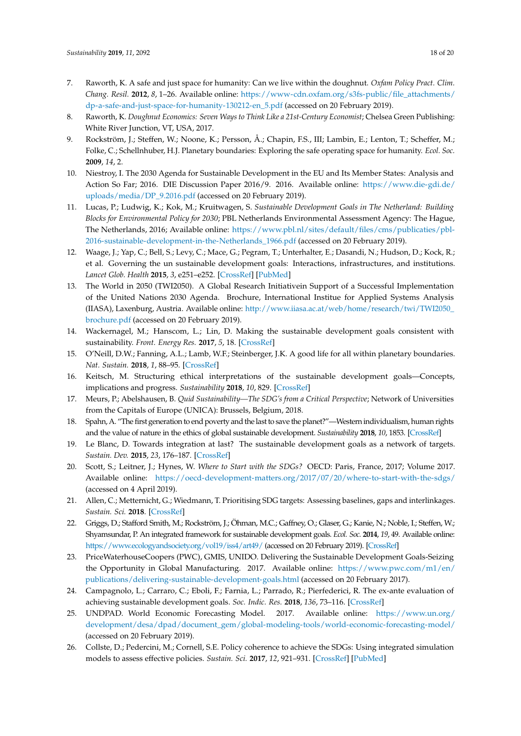- <span id="page-17-0"></span>7. Raworth, K. A safe and just space for humanity: Can we live within the doughnut. *Oxfam Policy Pract. Clim. Chang. Resil.* **2012**, *8*, 1–26. Available online: [https://www-cdn.oxfam.org/s3fs-public/file\\_attachments/](https://www-cdn.oxfam.org/s3fs-public/file_attachments/dp-a-safe-and-just-space-for-humanity-130212-en_5.pdf) [dp-a-safe-and-just-space-for-humanity-130212-en\\_5.pdf](https://www-cdn.oxfam.org/s3fs-public/file_attachments/dp-a-safe-and-just-space-for-humanity-130212-en_5.pdf) (accessed on 20 February 2019).
- <span id="page-17-1"></span>8. Raworth, K. *Doughnut Economics: Seven Ways to Think Like a 21st-Century Economist*; Chelsea Green Publishing: White River Junction, VT, USA, 2017.
- <span id="page-17-2"></span>9. Rockström, J.; Steffen, W.; Noone, K.; Persson, Å.; Chapin, F.S., III; Lambin, E.; Lenton, T.; Scheffer, M.; Folke, C.; Schellnhuber, H.J. Planetary boundaries: Exploring the safe operating space for humanity. *Ecol. Soc.* **2009**, *14*, 2.
- <span id="page-17-3"></span>10. Niestroy, I. The 2030 Agenda for Sustainable Development in the EU and Its Member States: Analysis and Action So Far; 2016. DIE Discussion Paper 2016/9. 2016. Available online: [https://www.die-gdi.de/](https://www.die-gdi.de/uploads/media/DP_9.2016.pdf) [uploads/media/DP\\_9.2016.pdf](https://www.die-gdi.de/uploads/media/DP_9.2016.pdf) (accessed on 20 February 2019).
- 11. Lucas, P.; Ludwig, K.; Kok, M.; Kruitwagen, S. *Sustainable Development Goals in The Netherland: Building Blocks for Environmental Policy for 2030*; PBL Netherlands Environmental Assessment Agency: The Hague, The Netherlands, 2016; Available online: [https://www.pbl.nl/sites/default/files/cms/publicaties/pbl-](https://www.pbl.nl/sites/default/files/cms/publicaties/pbl-2016-sustainable-development-in-the-Netherlands_1966.pdf)[2016-sustainable-development-in-the-Netherlands\\_1966.pdf](https://www.pbl.nl/sites/default/files/cms/publicaties/pbl-2016-sustainable-development-in-the-Netherlands_1966.pdf) (accessed on 20 February 2019).
- <span id="page-17-4"></span>12. Waage, J.; Yap, C.; Bell, S.; Levy, C.; Mace, G.; Pegram, T.; Unterhalter, E.; Dasandi, N.; Hudson, D.; Kock, R.; et al. Governing the un sustainable development goals: Interactions, infrastructures, and institutions. *Lancet Glob. Health* **2015**, *3*, e251–e252. [\[CrossRef\]](http://dx.doi.org/10.1016/S2214-109X(15)70112-9) [\[PubMed\]](http://www.ncbi.nlm.nih.gov/pubmed/25833663)
- <span id="page-17-5"></span>13. The World in 2050 (TWI2050). A Global Research Initiativein Support of a Successful Implementation of the United Nations 2030 Agenda. Brochure, International Institue for Applied Systems Analysis (IIASA), Laxenburg, Austria. Available online: [http://www.iiasa.ac.at/web/home/research/twi/TWI2050\\_](http://www.iiasa.ac.at/web/home/research/twi/TWI2050_brochure.pdf) [brochure.pdf](http://www.iiasa.ac.at/web/home/research/twi/TWI2050_brochure.pdf) (accessed on 20 February 2019).
- <span id="page-17-6"></span>14. Wackernagel, M.; Hanscom, L.; Lin, D. Making the sustainable development goals consistent with sustainability. *Front. Energy Res.* **2017**, *5*, 18. [\[CrossRef\]](http://dx.doi.org/10.3389/fenrg.2017.00018)
- <span id="page-17-7"></span>15. O'Neill, D.W.; Fanning, A.L.; Lamb, W.F.; Steinberger, J.K. A good life for all within planetary boundaries. *Nat. Sustain.* **2018**, *1*, 88–95. [\[CrossRef\]](http://dx.doi.org/10.1038/s41893-018-0021-4)
- <span id="page-17-8"></span>16. Keitsch, M. Structuring ethical interpretations of the sustainable development goals—Concepts, implications and progress. *Sustainability* **2018**, *10*, 829. [\[CrossRef\]](http://dx.doi.org/10.3390/su10030829)
- <span id="page-17-9"></span>17. Meurs, P.; Abelshausen, B. *Quid Sustainability—The SDG's from a Critical Perspective*; Network of Universities from the Capitals of Europe (UNICA): Brussels, Belgium, 2018.
- <span id="page-17-10"></span>18. Spahn, A. "The first generation to end poverty and the last to save the planet?"—Western individualism, human rights and the value of nature in the ethics of global sustainable development. *Sustainability* **2018**, *10*, 1853. [\[CrossRef\]](http://dx.doi.org/10.3390/su10061853)
- <span id="page-17-11"></span>19. Le Blanc, D. Towards integration at last? The sustainable development goals as a network of targets. *Sustain. Dev.* **2015**, *23*, 176–187. [\[CrossRef\]](http://dx.doi.org/10.1002/sd.1582)
- <span id="page-17-12"></span>20. Scott, S.; Leitner, J.; Hynes, W. *Where to Start with the SDGs?* OECD: Paris, France, 2017; Volume 2017. Available online: <https://oecd-development-matters.org/2017/07/20/where-to-start-with-the-sdgs/> (accessed on 4 April 2019).
- <span id="page-17-13"></span>21. Allen, C.; Metternicht, G.; Wiedmann, T. Prioritising SDG targets: Assessing baselines, gaps and interlinkages. *Sustain. Sci.* **2018**. [\[CrossRef\]](http://dx.doi.org/10.1007/s11625-018-0596-8)
- <span id="page-17-14"></span>22. Griggs, D.; Stafford Smith, M.; Rockström, J.; Öhman, M.C.; Gaffney, O.; Glaser, G.; Kanie, N.; Noble, I.; Steffen, W.; Shyamsundar, P. An integrated framework for sustainable development goals. *Ecol. Soc.* **2014**, *19*, 49. Available online: <https://www.ecologyandsociety.org/vol19/iss4/art49/> (accessed on 20 February 2019). [\[CrossRef\]](http://dx.doi.org/10.5751/ES-07082-190449)
- <span id="page-17-15"></span>23. PriceWaterhouseCoopers (PWC), GMIS, UNIDO. Delivering the Sustainable Development Goals-Seizing the Opportunity in Global Manufacturing. 2017. Available online: [https://www.pwc.com/m1/en/](https://www.pwc.com/m1/en/publications/delivering-sustainable-development-goals.html) [publications/delivering-sustainable-development-goals.html](https://www.pwc.com/m1/en/publications/delivering-sustainable-development-goals.html) (accessed on 20 February 2017).
- <span id="page-17-16"></span>24. Campagnolo, L.; Carraro, C.; Eboli, F.; Farnia, L.; Parrado, R.; Pierfederici, R. The ex-ante evaluation of achieving sustainable development goals. *Soc. Indic. Res.* **2018**, *136*, 73–116. [\[CrossRef\]](http://dx.doi.org/10.1007/s11205-017-1572-x)
- <span id="page-17-17"></span>25. UNDPAD. World Economic Forecasting Model. 2017. Available online: [https://www.un.org/](https://www.un.org/development/desa/dpad/document_gem/global-modeling-tools/world-economic-forecasting-model/) [development/desa/dpad/document\\_gem/global-modeling-tools/world-economic-forecasting-model/](https://www.un.org/development/desa/dpad/document_gem/global-modeling-tools/world-economic-forecasting-model/) (accessed on 20 February 2019).
- <span id="page-17-18"></span>26. Collste, D.; Pedercini, M.; Cornell, S.E. Policy coherence to achieve the SDGs: Using integrated simulation models to assess effective policies. *Sustain. Sci.* **2017**, *12*, 921–931. [\[CrossRef\]](http://dx.doi.org/10.1007/s11625-017-0457-x) [\[PubMed\]](http://www.ncbi.nlm.nih.gov/pubmed/30147764)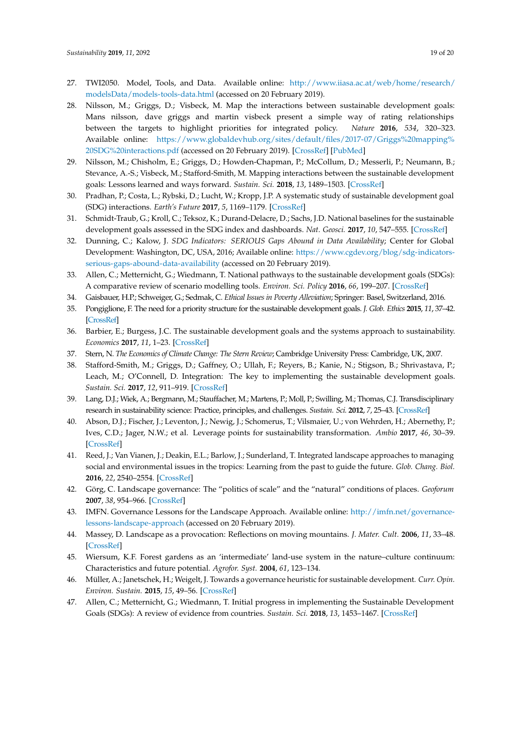- <span id="page-18-0"></span>27. TWI2050. Model, Tools, and Data. Available online: [http://www.iiasa.ac.at/web/home/research/](http://www.iiasa.ac.at/web/home/research/modelsData/models-tools-data.html) [modelsData/models-tools-data.html](http://www.iiasa.ac.at/web/home/research/modelsData/models-tools-data.html) (accessed on 20 February 2019).
- <span id="page-18-1"></span>28. Nilsson, M.; Griggs, D.; Visbeck, M. Map the interactions between sustainable development goals: Mans nilsson, dave griggs and martin visbeck present a simple way of rating relationships between the targets to highlight priorities for integrated policy. *Nature* **2016**, *534*, 320–323. Available online: [https://www.globaldevhub.org/sites/default/files/2017-07/Griggs%20mapping%](https://www.globaldevhub.org/sites/default/files/2017-07/Griggs%20mapping%20SDG%20interactions.pdf) [20SDG%20interactions.pdf](https://www.globaldevhub.org/sites/default/files/2017-07/Griggs%20mapping%20SDG%20interactions.pdf) (accessed on 20 February 2019). [\[CrossRef\]](http://dx.doi.org/10.1038/534320a) [\[PubMed\]](http://www.ncbi.nlm.nih.gov/pubmed/27306173)
- <span id="page-18-2"></span>29. Nilsson, M.; Chisholm, E.; Griggs, D.; Howden-Chapman, P.; McCollum, D.; Messerli, P.; Neumann, B.; Stevance, A.-S.; Visbeck, M.; Stafford-Smith, M. Mapping interactions between the sustainable development goals: Lessons learned and ways forward. *Sustain. Sci.* **2018**, *13*, 1489–1503. [\[CrossRef\]](http://dx.doi.org/10.1007/s11625-018-0604-z)
- <span id="page-18-3"></span>30. Pradhan, P.; Costa, L.; Rybski, D.; Lucht, W.; Kropp, J.P. A systematic study of sustainable development goal (SDG) interactions. *Earth's Future* **2017**, *5*, 1169–1179. [\[CrossRef\]](http://dx.doi.org/10.1002/2017EF000632)
- <span id="page-18-4"></span>31. Schmidt-Traub, G.; Kroll, C.; Teksoz, K.; Durand-Delacre, D.; Sachs, J.D. National baselines for the sustainable development goals assessed in the SDG index and dashboards. *Nat. Geosci.* **2017**, *10*, 547–555. [\[CrossRef\]](http://dx.doi.org/10.1038/ngeo2985)
- <span id="page-18-5"></span>32. Dunning, C.; Kalow, J. *SDG Indicators: SERIOUS Gaps Abound in Data Availability*; Center for Global Development: Washington, DC, USA, 2016; Available online: [https://www.cgdev.org/blog/sdg-indicators](https://www.cgdev.org/blog/sdg-indicators-serious-gaps-abound-data-availability)[serious-gaps-abound-data-availability](https://www.cgdev.org/blog/sdg-indicators-serious-gaps-abound-data-availability) (accessed on 20 February 2019).
- <span id="page-18-6"></span>33. Allen, C.; Metternicht, G.; Wiedmann, T. National pathways to the sustainable development goals (SDGs): A comparative review of scenario modelling tools. *Environ. Sci. Policy* **2016**, *66*, 199–207. [\[CrossRef\]](http://dx.doi.org/10.1016/j.envsci.2016.09.008)
- <span id="page-18-7"></span>34. Gaisbauer, H.P.; Schweiger, G.; Sedmak, C. *Ethical Issues in Poverty Alleviation*; Springer: Basel, Switzerland, 2016.
- <span id="page-18-8"></span>35. Pongiglione, F. The need for a priority structure for the sustainable development goals. *J. Glob. Ethics* **2015**, *11*, 37–42. [\[CrossRef\]](http://dx.doi.org/10.1080/17449626.2014.1001912)
- <span id="page-18-9"></span>36. Barbier, E.; Burgess, J.C. The sustainable development goals and the systems approach to sustainability. *Economics* **2017**, *11*, 1–23. [\[CrossRef\]](http://dx.doi.org/10.5018/economics-ejournal.ja.2017-28)
- <span id="page-18-10"></span>37. Stern, N. *The Economics of Climate Change: The Stern Review*; Cambridge University Press: Cambridge, UK, 2007.
- <span id="page-18-11"></span>38. Stafford-Smith, M.; Griggs, D.; Gaffney, O.; Ullah, F.; Reyers, B.; Kanie, N.; Stigson, B.; Shrivastava, P.; Leach, M.; O'Connell, D. Integration: The key to implementing the sustainable development goals. *Sustain. Sci.* **2017**, *12*, 911–919. [\[CrossRef\]](http://dx.doi.org/10.1007/s11625-016-0383-3)
- <span id="page-18-12"></span>39. Lang, D.J.; Wiek, A.; Bergmann, M.; Stauffacher, M.; Martens, P.; Moll, P.; Swilling, M.; Thomas, C.J. Transdisciplinary research in sustainability science: Practice, principles, and challenges. *Sustain. Sci.* **2012**, *7*, 25–43. [\[CrossRef\]](http://dx.doi.org/10.1007/s11625-011-0149-x)
- <span id="page-18-13"></span>40. Abson, D.J.; Fischer, J.; Leventon, J.; Newig, J.; Schomerus, T.; Vilsmaier, U.; von Wehrden, H.; Abernethy, P.; Ives, C.D.; Jager, N.W.; et al. Leverage points for sustainability transformation. *Ambio* **2017**, *46*, 30–39. [\[CrossRef\]](http://dx.doi.org/10.1007/s13280-016-0800-y)
- <span id="page-18-14"></span>41. Reed, J.; Van Vianen, J.; Deakin, E.L.; Barlow, J.; Sunderland, T. Integrated landscape approaches to managing social and environmental issues in the tropics: Learning from the past to guide the future. *Glob. Chang. Biol.* **2016**, *22*, 2540–2554. [\[CrossRef\]](http://dx.doi.org/10.1111/gcb.13284)
- <span id="page-18-15"></span>42. Görg, C. Landscape governance: The "politics of scale" and the "natural" conditions of places. *Geoforum* **2007**, *38*, 954–966. [\[CrossRef\]](http://dx.doi.org/10.1016/j.geoforum.2007.01.004)
- <span id="page-18-16"></span>43. IMFN. Governance Lessons for the Landscape Approach. Available online: [http://imfn.net/governance](http://imfn.net/governance-lessons-landscape-approach)[lessons-landscape-approach](http://imfn.net/governance-lessons-landscape-approach) (accessed on 20 February 2019).
- <span id="page-18-17"></span>44. Massey, D. Landscape as a provocation: Reflections on moving mountains. *J. Mater. Cult.* **2006**, *11*, 33–48. [\[CrossRef\]](http://dx.doi.org/10.1177/1359183506062991)
- 45. Wiersum, K.F. Forest gardens as an 'intermediate' land-use system in the nature–culture continuum: Characteristics and future potential. *Agrofor. Syst.* **2004**, *61*, 123–134.
- <span id="page-18-18"></span>46. Müller, A.; Janetschek, H.; Weigelt, J. Towards a governance heuristic for sustainable development. *Curr. Opin. Environ. Sustain.* **2015**, *15*, 49–56. [\[CrossRef\]](http://dx.doi.org/10.1016/j.cosust.2015.08.007)
- <span id="page-18-19"></span>47. Allen, C.; Metternicht, G.; Wiedmann, T. Initial progress in implementing the Sustainable Development Goals (SDGs): A review of evidence from countries. *Sustain. Sci.* **2018**, *13*, 1453–1467. [\[CrossRef\]](http://dx.doi.org/10.1007/s11625-018-0572-3)